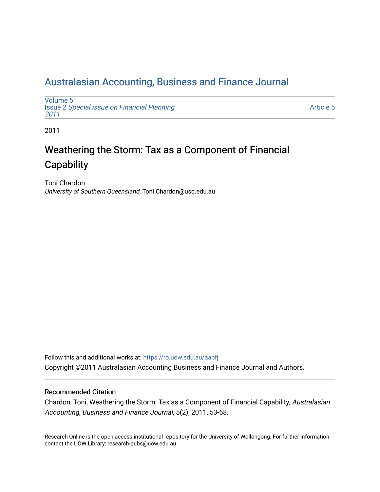# [Australasian Accounting, Business and Finance Journal](https://ro.uow.edu.au/aabfj)

[Volume 5](https://ro.uow.edu.au/aabfj/vol5) Issue 2 [Special issue on Financial Planning](https://ro.uow.edu.au/aabfj/vol5/iss2) [2011](https://ro.uow.edu.au/aabfj/vol5/iss2) 

[Article 5](https://ro.uow.edu.au/aabfj/vol5/iss2/5) 

2011

# Weathering the Storm: Tax as a Component of Financial **Capability**

Toni Chardon University of Southern Queensland, Toni.Chardon@usq.edu.au

Follow this and additional works at: [https://ro.uow.edu.au/aabfj](https://ro.uow.edu.au/aabfj?utm_source=ro.uow.edu.au%2Faabfj%2Fvol5%2Fiss2%2F5&utm_medium=PDF&utm_campaign=PDFCoverPages) Copyright ©2011 Australasian Accounting Business and Finance Journal and Authors.

#### Recommended Citation

Chardon, Toni, Weathering the Storm: Tax as a Component of Financial Capability, Australasian Accounting, Business and Finance Journal, 5(2), 2011, 53-68.

Research Online is the open access institutional repository for the University of Wollongong. For further information contact the UOW Library: research-pubs@uow.edu.au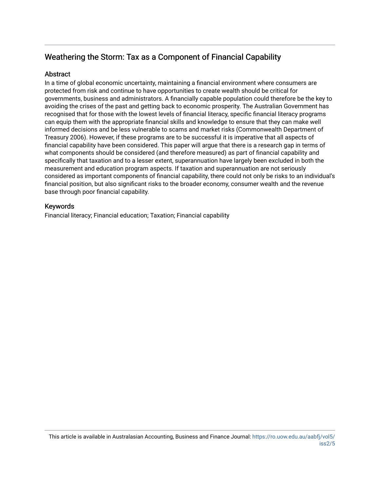## Weathering the Storm: Tax as a Component of Financial Capability

#### **Abstract**

In a time of global economic uncertainty, maintaining a financial environment where consumers are protected from risk and continue to have opportunities to create wealth should be critical for governments, business and administrators. A financially capable population could therefore be the key to avoiding the crises of the past and getting back to economic prosperity. The Australian Government has recognised that for those with the lowest levels of financial literacy, specific financial literacy programs can equip them with the appropriate financial skills and knowledge to ensure that they can make well informed decisions and be less vulnerable to scams and market risks (Commonwealth Department of Treasury 2006). However, if these programs are to be successful it is imperative that all aspects of financial capability have been considered. This paper will argue that there is a research gap in terms of what components should be considered (and therefore measured) as part of financial capability and specifically that taxation and to a lesser extent, superannuation have largely been excluded in both the measurement and education program aspects. If taxation and superannuation are not seriously considered as important components of financial capability, there could not only be risks to an individual's financial position, but also significant risks to the broader economy, consumer wealth and the revenue base through poor financial capability.

#### Keywords

Financial literacy; Financial education; Taxation; Financial capability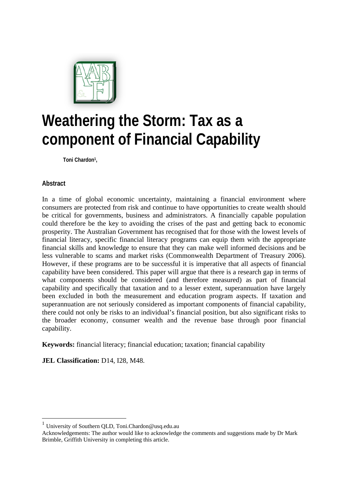

# **Weathering the Storm: Tax as a component of Financial Capability**

**Toni Chardon1,**

### **Abstract**

1

In a time of global economic uncertainty, maintaining a financial environment where consumers are protected from risk and continue to have opportunities to create wealth should be critical for governments, business and administrators. A financially capable population could therefore be the key to avoiding the crises of the past and getting back to economic prosperity. The Australian Government has recognised that for those with the lowest levels of financial literacy, specific financial literacy programs can equip them with the appropriate financial skills and knowledge to ensure that they can make well informed decisions and be less vulnerable to scams and market risks (Commonwealth Department of Treasury 2006). However, if these programs are to be successful it is imperative that all aspects of financial capability have been considered. This paper will argue that there is a research gap in terms of what components should be considered (and therefore measured) as part of financial capability and specifically that taxation and to a lesser extent, superannuation have largely been excluded in both the measurement and education program aspects. If taxation and superannuation are not seriously considered as important components of financial capability, there could not only be risks to an individual's financial position, but also significant risks to the broader economy, consumer wealth and the revenue base through poor financial capability.

**Keywords:** financial literacy; financial education; taxation; financial capability

**JEL Classification:** D14, I28, M48.

University of Southern OLD, Toni.Chardon@usq.edu.au

Acknowledgements: The author would like to acknowledge the comments and suggestions made by Dr Mark Brimble, Griffith University in completing this article.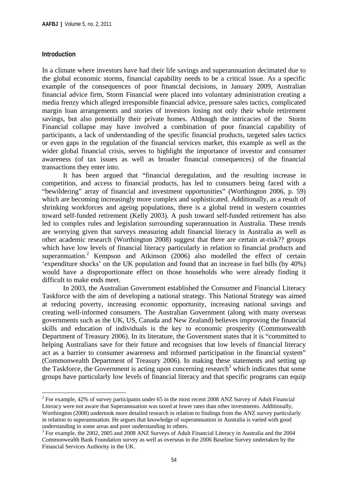#### **Introduction**

<u>.</u>

In a climate where investors have had their life savings and superannuation decimated due to the global economic storms, financial capability needs to be a critical issue. As a specific example of the consequences of poor financial decisions, in January 2009, Australian financial advice firm, Storm Financial were placed into voluntary administration creating a media frenzy which alleged irresponsible financial advice, pressure sales tactics, complicated margin loan arrangements and stories of investors losing not only their whole retirement savings, but also potentially their private homes. Although the intricacies of the Storm Financial collapse may have involved a combination of poor financial capability of participants, a lack of understanding of the specific financial products, targeted sales tactics or even gaps in the regulation of the financial services market, this example as well as the wider global financial crisis, serves to highlight the importance of investor and consumer awareness (of tax issues as well as broader financial consequences) of the financial transactions they enter into.

It has been argued that "financial deregulation, and the resulting increase in competition, and access to financial products, has led to consumers being faced with a "bewildering" array of financial and investment opportunities" (Worthington 2006, p. 59) which are becoming increasingly more complex and sophisticated. Additionally, as a result of shrinking workforces and ageing populations, there is a global trend in western countries toward self-funded retirement (Kelly 2003). A push toward self-funded retirement has also led to complex rules and legislation surrounding superannuation in Australia. These trends are worrying given that surveys measuring adult financial literacy in Australia as well as other academic research (Worthington 2008) suggest that there are certain at-risk?? groups which have low levels of financial literacy particularly in relation to financial products and superannuation.<sup>2</sup> Kempson and Atkinson (2006) also modelled the effect of certain 'expenditure shocks' on the UK population and found that an increase in fuel bills (by 40%) would have a disproportionate effect on those households who were already finding it difficult to make ends meet.

In 2003, the Australian Government established the Consumer and Financial Literacy Taskforce with the aim of developing a national strategy. This National Strategy was aimed at reducing poverty, increasing economic opportunity, increasing national savings and creating well-informed consumers. The Australian Government (along with many overseas governments such as the UK, US, Canada and New Zealand) believes improving the financial skills and education of individuals is the key to economic prosperity (Commonwealth Department of Treasury 2006). In its literature, the Government states that it is "committed to helping Australians save for their future and recognises that low levels of financial literacy act as a barrier to consumer awareness and informed participation in the financial system" (Commonwealth Department of Treasury 2006). In making these statements and setting up the Taskforce, the Government is acting upon concerning research<sup>3</sup> which indicates that some groups have particularly low levels of financial literacy and that specific programs can equip

 $2^2$  For example, 42% of survey participants under 65 in the most recent 2008 ANZ Survey of Adult Financial Literacy were not aware that Superannuation was taxed at lower rates than other investments. Additionally, Worthington (2008) undertook more detailed research in relation to findings from the ANZ survey particularly in relation to superannuation. He argues that knowledge of superannuation in Australia is varied with good understanding in some areas and poor understanding in others.

<sup>&</sup>lt;sup>3</sup> For example, the 2002, 2005 and 2008 ANZ Surveys of Adult Financial Literacy in Australia and the 2004 Commonwealth Bank Foundation survey as well as overseas in the 2006 Baseline Survey undertaken by the Financial Services Authority in the UK.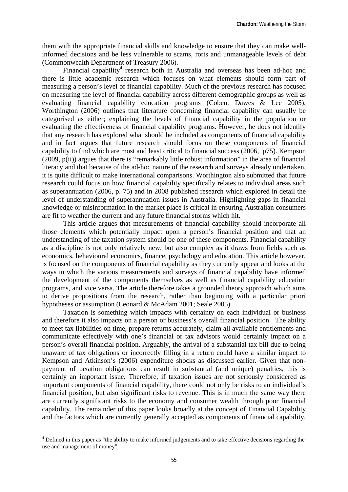them with the appropriate financial skills and knowledge to ensure that they can make wellinformed decisions and be less vulnerable to scams, rorts and unmanageable levels of debt (Commonwealth Department of Treasury 2006).

Financial capability<sup>4</sup> research both in Australia and overseas has been ad-hoc and there is little academic research which focuses on what elements should form part of measuring a person's level of financial capability. Much of the previous research has focused on measuring the level of financial capability across different demographic groups as well as evaluating financial capability education programs (Coben, Dawes & Lee 2005). Worthington (2006) outlines that literature concerning financial capability can usually be categorised as either; explaining the levels of financial capability in the population or evaluating the effectiveness of financial capability programs. However, he does not identify that any research has explored what should be included as components of financial capability and in fact argues that future research should focus on these components of financial capability to find which are most and least critical to financial success (2006, p75). Kempson (2009, p(ii)) argues that there is "remarkably little robust information" in the area of financial literacy and that because of the ad-hoc nature of the research and surveys already undertaken, it is quite difficult to make international comparisons. Worthington also submitted that future research could focus on how financial capability specifically relates to individual areas such as superannuation (2006, p. 75) and in 2008 published research which explored in detail the level of understanding of superannuation issues in Australia. Highlighting gaps in financial knowledge or misinformation in the market place is critical in ensuring Australian consumers are fit to weather the current and any future financial storms which hit.

This article argues that measurements of financial capability should incorporate all those elements which potentially impact upon a person's financial position and that an understanding of the taxation system should be one of these components. Financial capability as a discipline is not only relatively new, but also complex as it draws from fields such as economics, behavioural economics, finance, psychology and education. This article however, is focused on the components of financial capability as they currently appear and looks at the ways in which the various measurements and surveys of financial capability have informed the development of the components themselves as well as financial capability education programs, and vice versa. The article therefore takes a grounded theory approach which aims to derive propositions from the research, rather than beginning with a particular priori hypotheses or assumption (Leonard & McAdam 2001; Seale 2005).

Taxation is something which impacts with certainty on each individual or business and therefore it also impacts on a person or business's overall financial position. The ability to meet tax liabilities on time, prepare returns accurately, claim all available entitlements and communicate effectively with one's financial or tax advisors would certainly impact on a person's overall financial position. Arguably, the arrival of a substantial tax bill due to being unaware of tax obligations or incorrectly filling in a return could have a similar impact to Kempson and Atkinson's (2006) expenditure shocks as discussed earlier. Given that nonpayment of taxation obligations can result in substantial (and unique) penalties, this is certainly an important issue. Therefore, if taxation issues are not seriously considered as important components of financial capability, there could not only be risks to an individual's financial position, but also significant risks to revenue. This is in much the same way there are currently significant risks to the economy and consumer wealth through poor financial capability. The remainder of this paper looks broadly at the concept of Financial Capability and the factors which are currently generally accepted as components of financial capability.

<u>.</u>

 $4$  Defined in this paper as "the ability to make informed judgements and to take effective decisions regarding the use and management of money".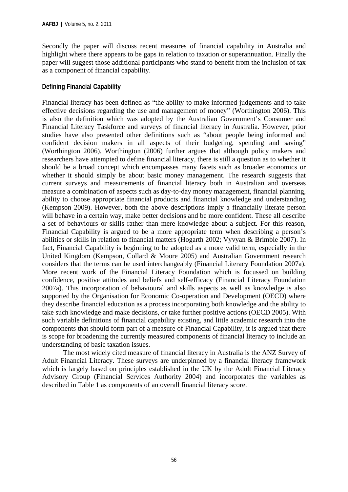Secondly the paper will discuss recent measures of financial capability in Australia and highlight where there appears to be gaps in relation to taxation or superannuation. Finally the paper will suggest those additional participants who stand to benefit from the inclusion of tax as a component of financial capability.

#### **Defining Financial Capability**

Financial literacy has been defined as "the ability to make informed judgements and to take effective decisions regarding the use and management of money" (Worthington 2006). This is also the definition which was adopted by the Australian Government's Consumer and Financial Literacy Taskforce and surveys of financial literacy in Australia. However, prior studies have also presented other definitions such as "about people being informed and confident decision makers in all aspects of their budgeting, spending and saving" (Worthington 2006). Worthington (2006) further argues that although policy makers and researchers have attempted to define financial literacy, there is still a question as to whether it should be a broad concept which encompasses many facets such as broader economics or whether it should simply be about basic money management. The research suggests that current surveys and measurements of financial literacy both in Australian and overseas measure a combination of aspects such as day-to-day money management, financial planning, ability to choose appropriate financial products and financial knowledge and understanding (Kempson 2009). However, both the above descriptions imply a financially literate person will behave in a certain way, make better decisions and be more confident. These all describe a set of behaviours or skills rather than mere knowledge about a subject. For this reason, Financial Capability is argued to be a more appropriate term when describing a person's abilities or skills in relation to financial matters (Hogarth 2002; Vyvyan & Brimble 2007). In fact, Financial Capability is beginning to be adopted as a more valid term, especially in the United Kingdom (Kempson, Collard & Moore 2005) and Australian Government research considers that the terms can be used interchangeably (Financial Literacy Foundation 2007a). More recent work of the Financial Literacy Foundation which is focussed on building confidence, positive attitudes and beliefs and self-efficacy (Financial Literacy Foundation 2007a). This incorporation of behavioural and skills aspects as well as knowledge is also supported by the Organisation for Economic Co-operation and Development (OECD) where they describe financial education as a process incorporating both knowledge and the ability to take such knowledge and make decisions, or take further positive actions (OECD 2005). With such variable definitions of financial capability existing, and little academic research into the components that should form part of a measure of Financial Capability, it is argued that there is scope for broadening the currently measured components of financial literacy to include an understanding of basic taxation issues.

The most widely cited measure of financial literacy in Australia is the ANZ Survey of Adult Financial Literacy. These surveys are underpinned by a financial literacy framework which is largely based on principles established in the UK by the Adult Financial Literacy Advisory Group (Financial Services Authority 2004) and incorporates the variables as described in Table 1 as components of an overall financial literacy score.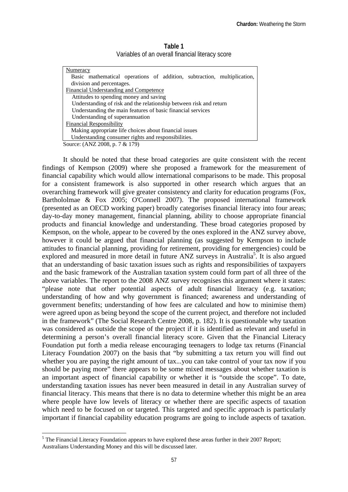| Table 1                                          |  |
|--------------------------------------------------|--|
| Variables of an overall financial literacy score |  |

| Numeracy                                                                |  |  |
|-------------------------------------------------------------------------|--|--|
| Basic mathematical operations of addition, subtraction, multiplication, |  |  |
| division and percentages.                                               |  |  |
| Financial Understanding and Competence                                  |  |  |
| Attitudes to spending money and saving                                  |  |  |
| Understanding of risk and the relationship between risk and return      |  |  |
| Understanding the main features of basic financial services             |  |  |
| Understanding of superannuation                                         |  |  |
| <b>Financial Responsibility</b>                                         |  |  |
| Making appropriate life choices about financial issues                  |  |  |
| Understanding consumer rights and responsibilities.                     |  |  |
|                                                                         |  |  |

Source: (ANZ 2008, p. 7 & 179)

It should be noted that these broad categories are quite consistent with the recent findings of Kempson (2009) where she proposed a framework for the measurement of financial capability which would allow international comparisons to be made. This proposal for a consistent framework is also supported in other research which argues that an overarching framework will give greater consistency and clarity for education programs (Fox, Barthololmae & Fox 2005; O'Connell 2007). The proposed international framework (presented as an OECD working paper) broadly categorises financial literacy into four areas; day-to-day money management, financial planning, ability to choose appropriate financial products and financial knowledge and understanding. These broad categories proposed by Kempson, on the whole, appear to be covered by the ones explored in the ANZ survey above, however it could be argued that financial planning (as suggested by Kempson to include attitudes to financial planning, providing for retirement, providing for emergencies) could be explored and measured in more detail in future ANZ surveys in Australia<sup>5</sup>. It is also argued that an understanding of basic taxation issues such as rights and responsibilities of taxpayers and the basic framework of the Australian taxation system could form part of all three of the above variables. The report to the 2008 ANZ survey recognises this argument where it states: "please note that other potential aspects of adult financial literacy (e.g. taxation; understanding of how and why government is financed; awareness and understanding of government benefits; understanding of how fees are calculated and how to minimise them) were agreed upon as being beyond the scope of the current project, and therefore not included in the framework" (The Social Research Centre 2008, p. 182). It is questionable why taxation was considered as outside the scope of the project if it is identified as relevant and useful in determining a person's overall financial literacy score. Given that the Financial Literacy Foundation put forth a media release encouraging teenagers to lodge tax returns (Financial Literacy Foundation 2007) on the basis that "by submitting a tax return you will find out whether you are paying the right amount of tax...you can take control of your tax now if you should be paying more" there appears to be some mixed messages about whether taxation is an important aspect of financial capability or whether it is "outside the scope". To date, understanding taxation issues has never been measured in detail in any Australian survey of financial literacy. This means that there is no data to determine whether this might be an area where people have low levels of literacy or whether there are specific aspects of taxation which need to be focused on or targeted. This targeted and specific approach is particularly important if financial capability education programs are going to include aspects of taxation.

<sup>&</sup>lt;u>.</u>  $<sup>5</sup>$  The Financial Literacy Foundation appears to have explored these areas further in their 2007 Report;</sup> Australians Understanding Money and this will be discussed later.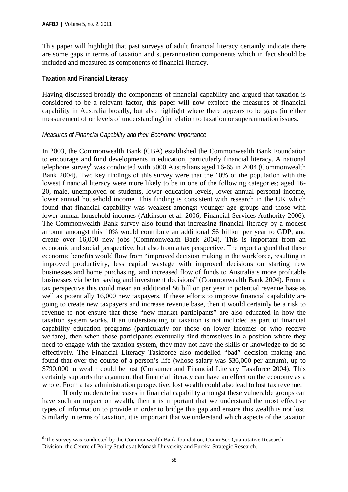This paper will highlight that past surveys of adult financial literacy certainly indicate there are some gaps in terms of taxation and superannuation components which in fact should be included and measured as components of financial literacy.

#### **Taxation and Financial Literacy**

Having discussed broadly the components of financial capability and argued that taxation is considered to be a relevant factor, this paper will now explore the measures of financial capability in Australia broadly, but also highlight where there appears to be gaps (in either measurement of or levels of understanding) in relation to taxation or superannuation issues.

#### *Measures of Financial Capability and their Economic Importance*

In 2003, the Commonwealth Bank (CBA) established the Commonwealth Bank Foundation to encourage and fund developments in education, particularly financial literacy. A national telephone survey<sup>6</sup> was conducted with 5000 Australians aged 16-65 in 2004 (Commonwealth Bank 2004). Two key findings of this survey were that the 10% of the population with the lowest financial literacy were more likely to be in one of the following categories; aged 16- 20, male, unemployed or students, lower education levels, lower annual personal income, lower annual household income. This finding is consistent with research in the UK which found that financial capability was weakest amongst younger age groups and those with lower annual household incomes (Atkinson et al. 2006; Financial Services Authority 2006). The Commonwealth Bank survey also found that increasing financial literacy by a modest amount amongst this 10% would contribute an additional \$6 billion per year to GDP, and create over 16,000 new jobs (Commonwealth Bank 2004). This is important from an economic and social perspective, but also from a tax perspective. The report argued that these economic benefits would flow from "improved decision making in the workforce, resulting in improved productivity, less capital wastage with improved decisions on starting new businesses and home purchasing, and increased flow of funds to Australia's more profitable businesses via better saving and investment decisions" (Commonwealth Bank 2004). From a tax perspective this could mean an additional \$6 billion per year in potential revenue base as well as potentially 16,000 new taxpayers. If these efforts to improve financial capability are going to create new taxpayers and increase revenue base, then it would certainly be a risk to revenue to not ensure that these "new market participants" are also educated in how the taxation system works. If an understanding of taxation is not included as part of financial capability education programs (particularly for those on lower incomes or who receive welfare), then when those participants eventually find themselves in a position where they need to engage with the taxation system, they may not have the skills or knowledge to do so effectively. The Financial Literacy Taskforce also modelled "bad" decision making and found that over the course of a person's life (whose salary was \$36,000 per annum), up to \$790,000 in wealth could be lost (Consumer and Financial Literacy Taskforce 2004). This certainly supports the argument that financial literacy can have an effect on the economy as a whole. From a tax administration perspective, lost wealth could also lead to lost tax revenue.

If only moderate increases in financial capability amongst these vulnerable groups can have such an impact on wealth, then it is important that we understand the most effective types of information to provide in order to bridge this gap and ensure this wealth is not lost. Similarly in terms of taxation, it is important that we understand which aspects of the taxation

<sup>&</sup>lt;u>.</u>  $6$  The survey was conducted by the Commonwealth Bank foundation, CommSec Quantitative Research Division, the Centre of Policy Studies at Monash University and Eureka Strategic Research.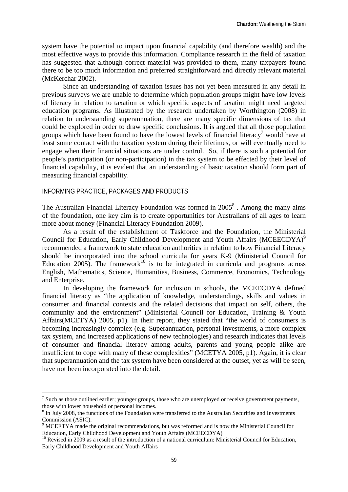system have the potential to impact upon financial capability (and therefore wealth) and the most effective ways to provide this information. Compliance research in the field of taxation has suggested that although correct material was provided to them, many taxpayers found there to be too much information and preferred straightforward and directly relevant material (McKerchar 2002).

Since an understanding of taxation issues has not yet been measured in any detail in previous surveys we are unable to determine which population groups might have low levels of literacy in relation to taxation or which specific aspects of taxation might need targeted education programs. As illustrated by the research undertaken by Worthington (2008) in relation to understanding superannuation, there are many specific dimensions of tax that could be explored in order to draw specific conclusions. It is argued that all those population groups which have been found to have the lowest levels of financial literacy<sup>7</sup> would have at least some contact with the taxation system during their lifetimes, or will eventually need to engage when their financial situations are under control. So, if there is such a potential for people's participation (or non-participation) in the tax system to be effected by their level of financial capability, it is evident that an understanding of basic taxation should form part of measuring financial capability.

#### INFORMING PRACTICE, PACKAGES AND PRODUCTS

<u>.</u>

The Australian Financial Literacy Foundation was formed in  $2005<sup>8</sup>$ . Among the many aims of the foundation, one key aim is to create opportunities for Australians of all ages to learn more about money (Financial Literacy Foundation 2009).

As a result of the establishment of Taskforce and the Foundation, the Ministerial Council for Education, Early Childhood Development and Youth Affairs (MCEECDYA)<sup>9</sup> recommended a framework to state education authorities in relation to how Financial Literacy should be incorporated into the school curricula for years K-9 (Ministerial Council for Education 2005). The framework<sup>10</sup> is to be integrated in curricula and programs across English, Mathematics, Science, Humanities, Business, Commerce, Economics, Technology and Enterprise.

In developing the framework for inclusion in schools, the MCEECDYA defined financial literacy as "the application of knowledge, understandings, skills and values in consumer and financial contexts and the related decisions that impact on self, others, the community and the environment" (Ministerial Council for Education, Training & Youth Affairs(MCETYA) 2005, p1). In their report, they stated that "the world of consumers is becoming increasingly complex (e.g. Superannuation, personal investments, a more complex tax system, and increased applications of new technologies) and research indicates that levels of consumer and financial literacy among adults, parents and young people alike are insufficient to cope with many of these complexities" (MCETYA 2005, p1). Again, it is clear that superannuation and the tax system have been considered at the outset, yet as will be seen, have not been incorporated into the detail.

 $<sup>7</sup>$  Such as those outlined earlier; younger groups, those who are unemployed or receive government payments,</sup> those with lower household or personal incomes.

<sup>&</sup>lt;sup>8</sup> In July 2008, the functions of the Foundation were transferred to the Australian Securities and Investments Commission (ASIC).

<sup>&</sup>lt;sup>9</sup> MCEETYA made the original recommendations, but was reformed and is now the Ministerial Council for Education, Early Childhood Development and Youth Affairs (MCEECDYA)

<sup>&</sup>lt;sup>10</sup> Revised in 2009 as a result of the introduction of a national curriculum: Ministerial Council for Education, Early Childhood Development and Youth Affairs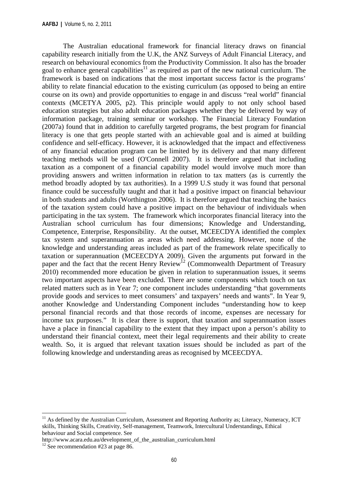The Australian educational framework for financial literacy draws on financial capability research initially from the U.K, the ANZ Surveys of Adult Financial Literacy, and research on behavioural economics from the Productivity Commission. It also has the broader goal to enhance general capabilities<sup>11</sup> as required as part of the new national curriculum. The framework is based on indications that the most important success factor is the programs' ability to relate financial education to the existing curriculum (as opposed to being an entire course on its own) and provide opportunities to engage in and discuss "real world" financial contexts (MCETYA 2005, p2). This principle would apply to not only school based education strategies but also adult education packages whether they be delivered by way of information package, training seminar or workshop. The Financial Literacy Foundation (2007a) found that in addition to carefully targeted programs, the best program for financial literacy is one that gets people started with an achievable goal and is aimed at building confidence and self-efficacy. However, it is acknowledged that the impact and effectiveness of any financial education program can be limited by its delivery and that many different teaching methods will be used (O'Connell 2007). It is therefore argued that including taxation as a component of a financial capability model would involve much more than providing answers and written information in relation to tax matters (as is currently the method broadly adopted by tax authorities). In a 1999 U.S study it was found that personal finance could be successfully taught and that it had a positive impact on financial behaviour in both students and adults (Worthington 2006). It is therefore argued that teaching the basics of the taxation system could have a positive impact on the behaviour of individuals when participating in the tax system. The framework which incorporates financial literacy into the Australian school curriculum has four dimensions; Knowledge and Understanding, Competence, Enterprise, Responsibility. At the outset, MCEECDYA identified the complex tax system and superannuation as areas which need addressing. However, none of the knowledge and understanding areas included as part of the framework relate specifically to taxation or superannuation (MCEECDYA 2009). Given the arguments put forward in the paper and the fact that the recent Henry Review<sup>12</sup> (Commonwealth Department of Treasury 2010) recommended more education be given in relation to superannuation issues, it seems two important aspects have been excluded. There are some components which touch on tax related matters such as in Year 7; one component includes understanding "that governments provide goods and services to meet consumers' and taxpayers' needs and wants". In Year 9, another Knowledge and Understanding Component includes "understanding how to keep personal financial records and that those records of income, expenses are necessary for income tax purposes." It is clear there is support, that taxation and superannuation issues have a place in financial capability to the extent that they impact upon a person's ability to understand their financial context, meet their legal requirements and their ability to create wealth. So, it is argued that relevant taxation issues should be included as part of the following knowledge and understanding areas as recognised by MCEECDYA.

<u>.</u>

 $11$  As defined by the Australian Curriculum, Assessment and Reporting Authority as; Literacy, Numeracy, ICT skills, Thinking Skills, Creativity, Self-management, Teamwork, Intercultural Understandings, Ethical behaviour and Social competence. See

http://www.acara.edu.au/development\_of\_the\_australian\_curriculum.html

<sup>&</sup>lt;sup>12</sup> See recommendation #23 at page 86.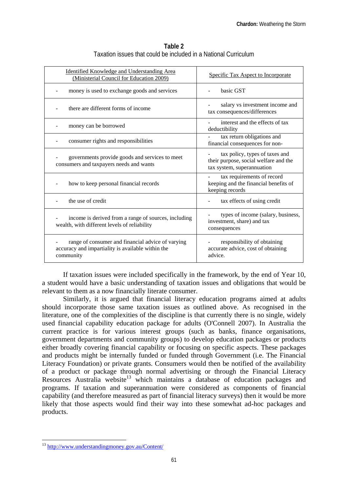| Identified Knowledge and Understanding Area<br>(Ministerial Council for Education 2009)                             | Specific Tax Aspect to Incorporate                                                                    |
|---------------------------------------------------------------------------------------------------------------------|-------------------------------------------------------------------------------------------------------|
| money is used to exchange goods and services                                                                        | basic GST                                                                                             |
| there are different forms of income                                                                                 | salary vs investment income and<br>tax consequences/differences                                       |
| money can be borrowed                                                                                               | interest and the effects of tax<br>deductibility                                                      |
| consumer rights and responsibilities                                                                                | tax return obligations and<br>financial consequences for non-                                         |
| governments provide goods and services to meet<br>consumers and taxpayers needs and wants                           | tax policy, types of taxes and<br>their purpose, social welfare and the<br>tax system, superannuation |
| how to keep personal financial records                                                                              | tax requirements of record<br>keeping and the financial benefits of<br>keeping records                |
| the use of credit                                                                                                   | tax effects of using credit                                                                           |
| income is derived from a range of sources, including<br>wealth, with different levels of reliability                | types of income (salary, business,<br>investment, share) and tax<br>consequences                      |
| range of consumer and financial advice of varying<br>accuracy and impartiality is available within the<br>community | responsibility of obtaining<br>accurate advice, cost of obtaining<br>advice.                          |

**Table 2**  Taxation issues that could be included in a National Curriculum

If taxation issues were included specifically in the framework, by the end of Year 10, a student would have a basic understanding of taxation issues and obligations that would be relevant to them as a now financially literate consumer.

Similarly, it is argued that financial literacy education programs aimed at adults should incorporate those same taxation issues as outlined above. As recognised in the literature, one of the complexities of the discipline is that currently there is no single, widely used financial capability education package for adults (O'Connell 2007). In Australia the current practice is for various interest groups (such as banks, finance organisations, government departments and community groups) to develop education packages or products either broadly covering financial capability or focusing on specific aspects. These packages and products might be internally funded or funded through Government (i.e. The Financial Literacy Foundation) or private grants. Consumers would then be notified of the availability of a product or package through normal advertising or through the Financial Literacy Resources Australia website<sup>13</sup> which maintains a database of education packages and programs. If taxation and superannuation were considered as components of financial capability (and therefore measured as part of financial literacy surveys) then it would be more likely that those aspects would find their way into these somewhat ad-hoc packages and products.

1

<sup>&</sup>lt;sup>13</sup> http://www.understandingmoney.gov.au/Content/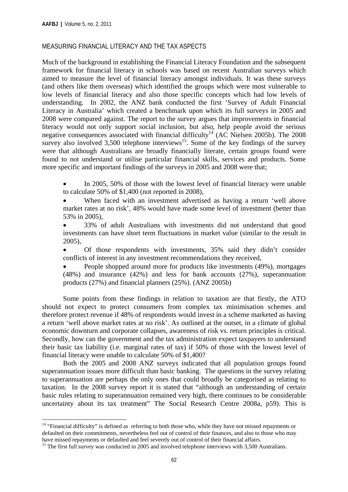1

#### MEASURING FINANCIAL LITERACY AND THE TAX ASPECTS

Much of the background in establishing the Financial Literacy Foundation and the subsequent framework for financial literacy in schools was based on recent Australian surveys which aimed to measure the level of financial literacy amongst individuals. It was these surveys (and others like them overseas) which identified the groups which were most vulnerable to low levels of financial literacy and also those specific concepts which had low levels of understanding. In 2002, the ANZ bank conducted the first 'Survey of Adult Financial Literacy in Australia' which created a benchmark upon which its full surveys in 2005 and 2008 were compared against. The report to the survey argues that improvements in financial literacy would not only support social inclusion, but also, help people avoid the serious negative consequences associated with financial difficulty<sup>14</sup> (AC Nielsen 2005b). The 2008 survey also involved  $3,500$  telephone interviews<sup>15</sup>. Some of the key findings of the survey were that although Australians are broadly financially literate, certain groups found were found to not understand or utilise particular financial skills, services and products. Some more specific and important findings of the surveys in 2005 and 2008 were that;

 In 2005, 50% of those with the lowest level of financial literacy were unable to calculate 50% of \$1,400 (not reported in 2008),

 When faced with an investment advertised as having a return 'well above market rates at no risk', 48% would have made some level of investment (better than 53% in 2005),

 33% of adult Australians with investments did not understand that good investments can have short term fluctuations in market value (similar to the result in 2005),

 Of those respondents with investments, 35% said they didn't consider conflicts of interest in any investment recommendations they received,

 People shopped around more for products like investments (49%), mortgages (48%) and insurance (42%) and less for bank accounts (27%), superannuation products (27%) and financial planners (25%). (ANZ 2005b)

Some points from these findings in relation to taxation are that firstly, the ATO should not expect to protect consumers from complex tax minimisation schemes and therefore protect revenue if 48% of respondents would invest in a scheme marketed as having a return 'well above market rates at no risk'. As outlined at the outset, in a climate of global economic downturn and corporate collapses, awareness of risk vs. return principles is critical. Secondly, how can the government and the tax administration expect taxpayers to understand their basic tax liability (i.e. marginal rates of tax) if 50% of those with the lowest level of financial literacy were unable to calculate 50% of \$1,400?

Both the 2005 and 2008 ANZ surveys indicated that all population groups found superannuation issues more difficult than basic banking. The questions in the survey relating to superannuation are perhaps the only ones that could broadly be categorised as relating to taxation. In the 2008 survey report it is stated that "although an understanding of certain basic rules relating to superannuation remained very high, there continues to be considerable uncertainty about its tax treatment" The Social Research Centre 2008a, p59). This is

<sup>&</sup>lt;sup>14</sup> "Financial difficulty" is defined as referring to both those who, while they have not missed repayments or defaulted on their commitments, nevertheless feel out of control of their finances, and also to those who may have missed repayments or defaulted and feel severely out of control of their financial affairs.<br><sup>15</sup> The first full survey was conducted in 2005 and involved telephone interviews with 3,500 Australians.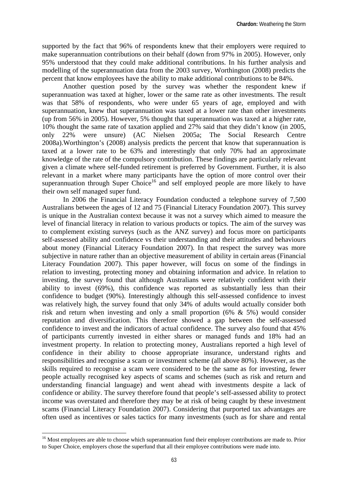supported by the fact that 96% of respondents knew that their employers were required to make superannuation contributions on their behalf (down from 97% in 2005). However, only 95% understood that they could make additional contributions. In his further analysis and modelling of the superannuation data from the 2003 survey, Worthington (2008) predicts the percent that know employees have the ability to make additional contributions to be 84%.

Another question posed by the survey was whether the respondent knew if superannuation was taxed at higher, lower or the same rate as other investments. The result was that 58% of respondents, who were under 65 years of age, employed and with superannuation, knew that superannuation was taxed at a lower rate than other investments (up from 56% in 2005). However, 5% thought that superannuation was taxed at a higher rate, 10% thought the same rate of taxation applied and 27% said that they didn't know (in 2005, only 22% were unsure) (AC Nielsen 2005a; The Social Research Centre 2008a).Worthington's (2008) analysis predicts the percent that know that superannuation is taxed at a lower rate to be 63% and interestingly that only 70% had an approximate knowledge of the rate of the compulsory contribution. These findings are particularly relevant given a climate where self-funded retirement is preferred by Government. Further, it is also relevant in a market where many participants have the option of more control over their superannuation through Super Choice<sup>16</sup> and self employed people are more likely to have their own self managed super fund.

In 2006 the Financial Literacy Foundation conducted a telephone survey of 7,500 Australians between the ages of 12 and 75 (Financial Literacy Foundation 2007). This survey is unique in the Australian context because it was not a survey which aimed to measure the level of financial literacy in relation to various products or topics. The aim of the survey was to complement existing surveys (such as the ANZ survey) and focus more on participants self-assessed ability and confidence vs their understanding and their attitudes and behaviours about money (Financial Literacy Foundation 2007). In that respect the survey was more subjective in nature rather than an objective measurement of ability in certain areas (Financial Literacy Foundation 2007). This paper however, will focus on some of the findings in relation to investing, protecting money and obtaining information and advice. In relation to investing, the survey found that although Australians were relatively confident with their ability to invest (69%), this confidence was reported as substantially less than their confidence to budget (90%). Interestingly although this self-assessed confidence to invest was relatively high, the survey found that only 34% of adults would actually consider both risk and return when investing and only a small proportion (6% & 5%) would consider reputation and diversification. This therefore showed a gap between the self-assessed confidence to invest and the indicators of actual confidence. The survey also found that 45% of participants currently invested in either shares or managed funds and 18% had an investment property. In relation to protecting money, Australians reported a high level of confidence in their ability to choose appropriate insurance, understand rights and responsibilities and recognise a scam or investment scheme (all above 80%). However, as the skills required to recognise a scam were considered to be the same as for investing, fewer people actually recognised key aspects of scams and schemes (such as risk and return and understanding financial language) and went ahead with investments despite a lack of confidence or ability. The survey therefore found that people's self-assessed ability to protect income was overstated and therefore they may be at risk of being caught by these investment scams (Financial Literacy Foundation 2007). Considering that purported tax advantages are often used as incentives or sales tactics for many investments (such as for share and rental

<sup>&</sup>lt;u>.</u> <sup>16</sup> Most employees are able to choose which superannuation fund their employer contributions are made to. Prior to Super Choice, employers chose the superfund that all their employee contributions were made into.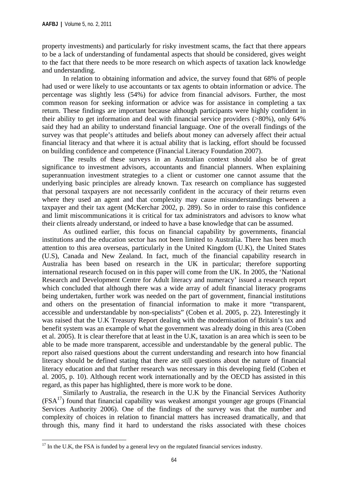property investments) and particularly for risky investment scams, the fact that there appears to be a lack of understanding of fundamental aspects that should be considered, gives weight to the fact that there needs to be more research on which aspects of taxation lack knowledge and understanding.

In relation to obtaining information and advice, the survey found that 68% of people had used or were likely to use accountants or tax agents to obtain information or advice. The percentage was slightly less (54%) for advice from financial advisors. Further, the most common reason for seeking information or advice was for assistance in completing a tax return. These findings are important because although participants were highly confident in their ability to get information and deal with financial service providers (>80%), only 64% said they had an ability to understand financial language. One of the overall findings of the survey was that people's attitudes and beliefs about money can adversely affect their actual financial literacy and that where it is actual ability that is lacking, effort should be focussed on building confidence and competence (Financial Literacy Foundation 2007).

The results of these surveys in an Australian context should also be of great significance to investment advisors, accountants and financial planners. When explaining superannuation investment strategies to a client or customer one cannot assume that the underlying basic principles are already known. Tax research on compliance has suggested that personal taxpayers are not necessarily confident in the accuracy of their returns even where they used an agent and that complexity may cause misunderstandings between a taxpayer and their tax agent (McKerchar 2002, p. 289). So in order to raise this confidence and limit miscommunications it is critical for tax administrators and advisors to know what their clients already understand, or indeed to have a base knowledge that can be assumed.

As outlined earlier, this focus on financial capability by governments, financial institutions and the education sector has not been limited to Australia. There has been much attention to this area overseas, particularly in the United Kingdom (U.K), the United States (U.S), Canada and New Zealand. In fact, much of the financial capability research in Australia has been based on research in the UK in particular; therefore supporting international research focused on in this paper will come from the UK. In 2005, the 'National Research and Development Centre for Adult literacy and numeracy' issued a research report which concluded that although there was a wide array of adult financial literacy programs being undertaken, further work was needed on the part of government, financial institutions and others on the presentation of financial information to make it more "transparent, accessible and understandable by non-specialists" (Coben et al. 2005, p. 22). Interestingly it was raised that the U.K Treasury Report dealing with the modernisation of Britain's tax and benefit system was an example of what the government was already doing in this area (Coben et al. 2005). It is clear therefore that at least in the U.K, taxation is an area which is seen to be able to be made more transparent, accessible and understandable by the general public. The report also raised questions about the current understanding and research into how financial literacy should be defined stating that there are still questions about the nature of financial literacy education and that further research was necessary in this developing field (Coben et al. 2005, p. 10). Although recent work internationally and by the OECD has assisted in this regard, as this paper has highlighted, there is more work to be done.

Similarly to Australia, the research in the U.K by the Financial Services Authority  $(FSA<sup>17</sup>)$  found that financial capability was weakest amongst younger age groups (Financial Services Authority 2006). One of the findings of the survey was that the number and complexity of choices in relation to financial matters has increased dramatically, and that through this, many find it hard to understand the risks associated with these choices

1

 $17$  In the U.K, the FSA is funded by a general levy on the regulated financial services industry.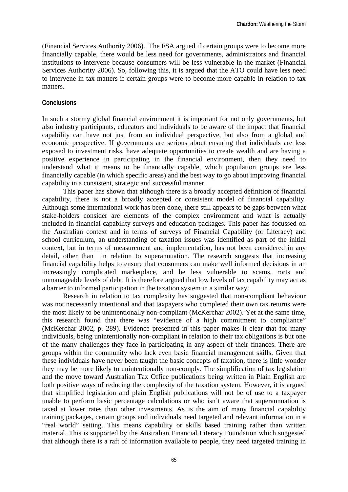(Financial Services Authority 2006). The FSA argued if certain groups were to become more financially capable, there would be less need for governments, administrators and financial institutions to intervene because consumers will be less vulnerable in the market (Financial Services Authority 2006). So, following this, it is argued that the ATO could have less need to intervene in tax matters if certain groups were to become more capable in relation to tax matters.

#### **Conclusions**

In such a stormy global financial environment it is important for not only governments, but also industry participants, educators and individuals to be aware of the impact that financial capability can have not just from an individual perspective, but also from a global and economic perspective. If governments are serious about ensuring that individuals are less exposed to investment risks, have adequate opportunities to create wealth and are having a positive experience in participating in the financial environment, then they need to understand what it means to be financially capable, which population groups are less financially capable (in which specific areas) and the best way to go about improving financial capability in a consistent, strategic and successful manner.

This paper has shown that although there is a broadly accepted definition of financial capability, there is not a broadly accepted or consistent model of financial capability. Although some international work has been done, there still appears to be gaps between what stake-holders consider are elements of the complex environment and what is actually included in financial capability surveys and education packages. This paper has focussed on the Australian context and in terms of surveys of Financial Capability (or Literacy) and school curriculum, an understanding of taxation issues was identified as part of the initial context, but in terms of measurement and implementation, has not been considered in any detail, other than in relation to superannuation. The research suggests that increasing financial capability helps to ensure that consumers can make well informed decisions in an increasingly complicated marketplace, and be less vulnerable to scams, rorts and unmanageable levels of debt. It is therefore argued that low levels of tax capability may act as a barrier to informed participation in the taxation system in a similar way.

Research in relation to tax complexity has suggested that non-compliant behaviour was not necessarily intentional and that taxpayers who completed their own tax returns were the most likely to be unintentionally non-compliant (McKerchar 2002). Yet at the same time, this research found that there was "evidence of a high commitment to compliance" (McKerchar 2002, p. 289). Evidence presented in this paper makes it clear that for many individuals, being unintentionally non-compliant in relation to their tax obligations is but one of the many challenges they face in participating in any aspect of their finances. There are groups within the community who lack even basic financial management skills. Given that these individuals have never been taught the basic concepts of taxation, there is little wonder they may be more likely to unintentionally non-comply. The simplification of tax legislation and the move toward Australian Tax Office publications being written in Plain English are both positive ways of reducing the complexity of the taxation system. However, it is argued that simplified legislation and plain English publications will not be of use to a taxpayer unable to perform basic percentage calculations or who isn't aware that superannuation is taxed at lower rates than other investments. As is the aim of many financial capability training packages, certain groups and individuals need targeted and relevant information in a "real world" setting. This means capability or skills based training rather than written material. This is supported by the Australian Financial Literacy Foundation which suggested that although there is a raft of information available to people, they need targeted training in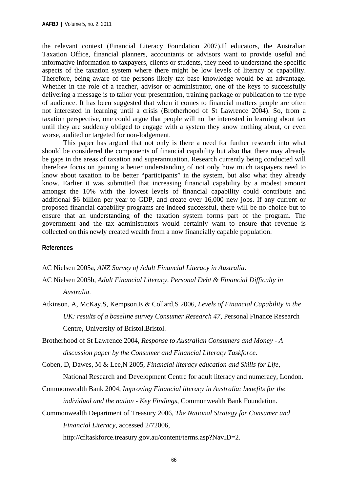the relevant context (Financial Literacy Foundation 2007).If educators, the Australian Taxation Office, financial planners, accountants or advisors want to provide useful and informative information to taxpayers, clients or students, they need to understand the specific aspects of the taxation system where there might be low levels of literacy or capability. Therefore, being aware of the persons likely tax base knowledge would be an advantage. Whether in the role of a teacher, advisor or administrator, one of the keys to successfully delivering a message is to tailor your presentation, training package or publication to the type of audience. It has been suggested that when it comes to financial matters people are often not interested in learning until a crisis (Brotherhood of St Lawrence 2004). So, from a taxation perspective, one could argue that people will not be interested in learning about tax until they are suddenly obliged to engage with a system they know nothing about, or even worse, audited or targeted for non-lodgement.

This paper has argued that not only is there a need for further research into what should be considered the components of financial capability but also that there may already be gaps in the areas of taxation and superannuation. Research currently being conducted will therefore focus on gaining a better understanding of not only how much taxpayers need to know about taxation to be better "participants" in the system, but also what they already know. Earlier it was submitted that increasing financial capability by a modest amount amongst the 10% with the lowest levels of financial capability could contribute and additional \$6 billion per year to GDP, and create over 16,000 new jobs. If any current or proposed financial capability programs are indeed successful, there will be no choice but to ensure that an understanding of the taxation system forms part of the program. The government and the tax administrators would certainly want to ensure that revenue is collected on this newly created wealth from a now financially capable population.

#### **References**

#### AC Nielsen 2005a, *ANZ Survey of Adult Financial Literacy in Australia*.

- AC Nielsen 2005b, *Adult Financial Literacy, Personal Debt & Financial Difficulty in Australia*.
- Atkinson, A, McKay,S, Kempson,E & Collard,S 2006, *Levels of Financial Capability in the UK: results of a baseline survey Consumer Research 47*, Personal Finance Research Centre, University of Bristol.Bristol.
- Brotherhood of St Lawrence 2004, *Response to Australian Consumers and Money A discussion paper by the Consumer and Financial Literacy Taskforce*.
- Coben, D, Dawes, M & Lee,N 2005, *Financial literacy education and Skills for Life*, National Research and Development Centre for adult literacy and numeracy, London.
- Commonwealth Bank 2004, *Improving Financial literacy in Australia: benefits for the individual and the nation - Key Findings*, Commonwealth Bank Foundation.
- Commonwealth Department of Treasury 2006, *The National Strategy for Consumer and Financial Literacy*, accessed 2/72006,
	- http://cfltaskforce.treasury.gov.au/content/terms.asp?NavID=2.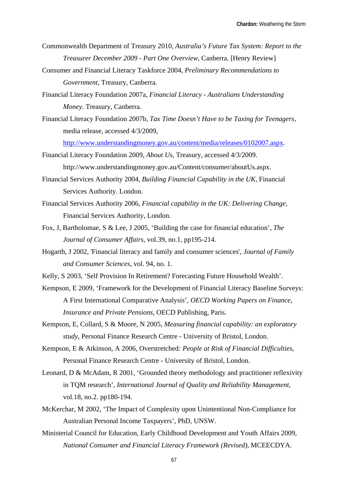- Commonwealth Department of Treasury 2010*, Australia's Future Tax System: Report to the Treasurer December 2009 - Part One Overview*, Canberra. [Henry Review]
- Consumer and Financial Literacy Taskforce 2004, *Preliminary Recommendations to Government*, Treasury, Canberra.
- Financial Literacy Foundation 2007a, *Financial Literacy Australians Understanding Money*. Treasury, Canberra.
- Financial Literacy Foundation 2007b, *Tax Time Doesn't Have to be Taxing for Teenagers,* media release, accessed 4/3/2009,

http://www.understandingmoney.gov.au/content/media/releases/0102007.aspx.

- Financial Literacy Foundation 2009, *About Us*, Treasury, accessed 4/3/2009. http://www.understandingmoney.gov.au/Content/consumer/aboutUs.aspx.
- Financial Services Authority 2004, *Building Financial Capability in the UK*, Financial Services Authority. London.
- Financial Services Authority 2006, *Financial capability in the UK: Delivering Change,*  Financial Services Authority, London.
- Fox, J, Bartholomae, S & Lee, J 2005, 'Building the case for financial education', *The Journal of Consumer Affairs,* vol.39, no.1, pp195-214.
- Hogarth, J 2002, 'Financial literacy and family and consumer sciences', *Journal of Family and Consumer Sciences*, vol. 94, no. 1.
- Kelly, S 2003, 'Self Provision In Retirement? Forecasting Future Household Wealth'.
- Kempson, E 2009, 'Framework for the Development of Financial Literacy Baseline Surveys: A First International Comparative Analysis'*, OECD Working Papers on Finance, Insurance and Private Pensions*, OECD Publishing, Paris.
- Kempson, E, Collard, S & Moore, N 2005, *Measuring financial capability: an exploratory study*, Personal Finance Research Centre - University of Bristol, London.
- Kempson, E & Atkinson, A 2006, Overstretched*: People at Risk of Financial Difficulties*, Personal Finance Research Centre - University of Bristol, London.
- Leonard, D & McAdam, R 2001, 'Grounded theory methodology and practitioner reflexivity in TQM research', *International Journal of Quality and Reliability Management*, vol.18, no.2. pp180-194.
- McKerchar, M 2002, 'The Impact of Complexity upon Unintentional Non-Compliance for Australian Personal Income Taxpayers', PhD, UNSW.
- Ministerial Council for Education, Early Childhood Development and Youth Affairs 2009, *National Consumer and Financial Literacy Framework (Revised)*, MCEECDYA.